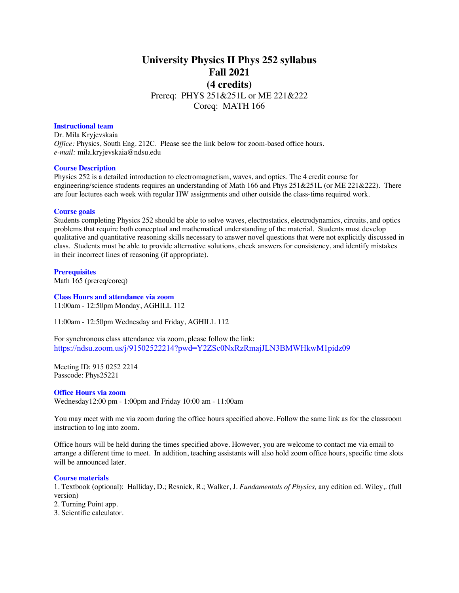# **University Physics II Phys 252 syllabus Fall 2021 (4 credits)** Prereq: PHYS 251&251L or ME 221&222

Coreq: MATH 166

# **Instructional team**

Dr. Mila Kryjevskaia *Office:* Physics, South Eng. 212C. Please see the link below for zoom-based office hours. *e-mail:* mila.kryjevskaia@ndsu.edu

# **Course Description**

Physics 252 is a detailed introduction to electromagnetism, waves, and optics. The 4 credit course for engineering/science students requires an understanding of Math 166 and Phys 251&251L (or ME 221&222). There are four lectures each week with regular HW assignments and other outside the class-time required work.

#### **Course goals**

Students completing Physics 252 should be able to solve waves, electrostatics, electrodynamics, circuits, and optics problems that require both conceptual and mathematical understanding of the material. Students must develop qualitative and quantitative reasoning skills necessary to answer novel questions that were not explicitly discussed in class. Students must be able to provide alternative solutions, check answers for consistency, and identify mistakes in their incorrect lines of reasoning (if appropriate).

## **Prerequisites**

Math 165 (prereq/coreq)

#### **Class Hours and attendance via zoom**

11:00am - 12:50pm Monday, AGHILL 112

11:00am - 12:50pm Wednesday and Friday, AGHILL 112

For synchronous class attendance via zoom, please follow the link: https://ndsu.zoom.us/j/91502522214?pwd=Y2ZSc0NxRzRmajJLN3BMWHkwM1pidz09

Meeting ID: 915 0252 2214 Passcode: Phys25221

## **Office Hours via zoom**

Wednesday12:00 pm - 1:00pm and Friday 10:00 am - 11:00am

You may meet with me via zoom during the office hours specified above. Follow the same link as for the classroom instruction to log into zoom.

Office hours will be held during the times specified above. However, you are welcome to contact me via email to arrange a different time to meet. In addition, teaching assistants will also hold zoom office hours, specific time slots will be announced later.

#### **Course materials**

1. Textbook (optional): Halliday, D.; Resnick, R.; Walker, J. *Fundamentals of Physics,* any edition ed. Wiley,. (full version)

2. Turning Point app.

3. Scientific calculator.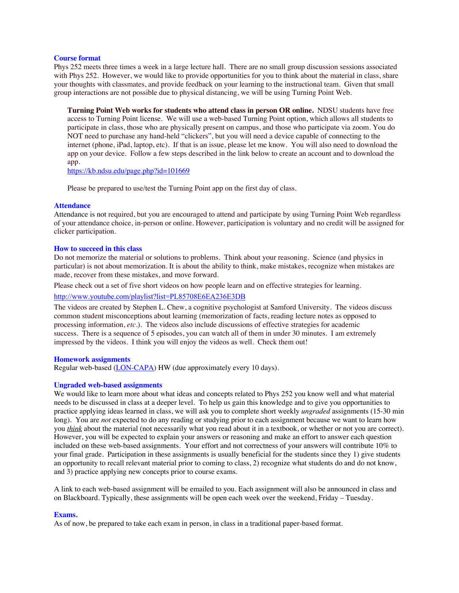# **Course format**

Phys 252 meets three times a week in a large lecture hall. There are no small group discussion sessions associated with Phys 252. However, we would like to provide opportunities for you to think about the material in class, share your thoughts with classmates, and provide feedback on your learning to the instructional team. Given that small group interactions are not possible due to physical distancing, we will be using Turning Point Web.

**Turning Point Web works for students who attend class in person OR online.** NDSU students have free access to Turning Point license. We will use a web-based Turning Point option, which allows all students to participate in class, those who are physically present on campus, and those who participate via zoom. You do NOT need to purchase any hand-held "clickers", but you will need a device capable of connecting to the internet (phone, iPad, laptop, etc). If that is an issue, please let me know. You will also need to download the app on your device. Follow a few steps described in the link below to create an account and to download the app.

https://kb.ndsu.edu/page.php?id=101669

Please be prepared to use/test the Turning Point app on the first day of class.

#### **Attendance**

Attendance is not required, but you are encouraged to attend and participate by using Turning Point Web regardless of your attendance choice, in-person or online. However, participation is voluntary and no credit will be assigned for clicker participation.

#### **How to succeed in this class**

Do not memorize the material or solutions to problems. Think about your reasoning. Science (and physics in particular) is not about memorization. It is about the ability to think, make mistakes, recognize when mistakes are made, recover from these mistakes, and move forward.

Please check out a set of five short videos on how people learn and on effective strategies for learning.

http://www.youtube.com/playlist?list=PL85708E6EA236E3DB

The videos are created by Stephen L. Chew, a cognitive psychologist at Samford University. The videos discuss common student misconceptions about learning (memorization of facts, reading lecture notes as opposed to processing information, *etc.*). The videos also include discussions of effective strategies for academic success. There is a sequence of 5 episodes, you can watch all of them in under 30 minutes. I am extremely impressed by the videos. I think you will enjoy the videos as well. Check them out!

#### **Homework assignments**

Regular web-based (LON-CAPA) HW (due approximately every 10 days).

## **Ungraded web-based assignments**

We would like to learn more about what ideas and concepts related to Phys 252 you know well and what material needs to be discussed in class at a deeper level. To help us gain this knowledge and to give you opportunities to practice applying ideas learned in class, we will ask you to complete short weekly *ungraded* assignments (15-30 min long). You are *not* expected to do any reading or studying prior to each assignment because we want to learn how you *think* about the material (not necessarily what you read about it in a textbook, or whether or not you are correct). However, you will be expected to explain your answers or reasoning and make an effort to answer each question included on these web-based assignments. Your effort and not correctness of your answers will contribute 10% to your final grade. Participation in these assignments is usually beneficial for the students since they 1) give students an opportunity to recall relevant material prior to coming to class, 2) recognize what students do and do not know, and 3) practice applying new concepts prior to course exams.

A link to each web-based assignment will be emailed to you. Each assignment will also be announced in class and on Blackboard. Typically, these assignments will be open each week over the weekend, Friday – Tuesday.

#### **Exams.**

As of now, be prepared to take each exam in person, in class in a traditional paper-based format.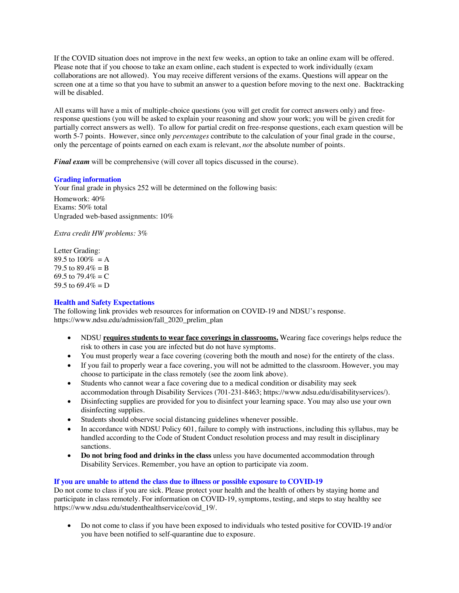If the COVID situation does not improve in the next few weeks, an option to take an online exam will be offered. Please note that if you choose to take an exam online, each student is expected to work individually (exam collaborations are not allowed). You may receive different versions of the exams. Questions will appear on the screen one at a time so that you have to submit an answer to a question before moving to the next one. Backtracking will be disabled.

All exams will have a mix of multiple-choice questions (you will get credit for correct answers only) and freeresponse questions (you will be asked to explain your reasoning and show your work; you will be given credit for partially correct answers as well). To allow for partial credit on free-response questions, each exam question will be worth 5-7 points. However, since only *percentages* contribute to the calculation of your final grade in the course, only the percentage of points earned on each exam is relevant, *not* the absolute number of points.

*Final exam* will be comprehensive (will cover all topics discussed in the course).

# **Grading information**

Your final grade in physics 252 will be determined on the following basis: Homework: 40% Exams: 50% total Ungraded web-based assignments: 10%

*Extra credit HW problems:* 3%

Letter Grading: 89.5 to  $100\% = A$ 79.5 to  $89.4\% = B$ 69.5 to  $79.4\% = C$ 59.5 to  $69.4\% = D$ 

## **Health and Safety Expectations**

The following link provides web resources for information on COVID-19 and NDSU's response. https://www.ndsu.edu/admission/fall\_2020\_prelim\_plan

- NDSU **requires students to wear face coverings in classrooms.** Wearing face coverings helps reduce the risk to others in case you are infected but do not have symptoms.
- You must properly wear a face covering (covering both the mouth and nose) for the entirety of the class.
- If you fail to properly wear a face covering, you will not be admitted to the classroom. However, you may choose to participate in the class remotely (see the zoom link above).
- Students who cannot wear a face covering due to a medical condition or disability may seek accommodation through Disability Services (701-231-8463; https://www.ndsu.edu/disabilityservices/).
- Disinfecting supplies are provided for you to disinfect your learning space. You may also use your own disinfecting supplies.
- Students should observe social distancing guidelines whenever possible.
- In accordance with NDSU Policy 601, failure to comply with instructions, including this syllabus, may be handled according to the Code of Student Conduct resolution process and may result in disciplinary sanctions.
- **Do not bring food and drinks in the class** unless you have documented accommodation through Disability Services. Remember, you have an option to participate via zoom.

## **If you are unable to attend the class due to illness or possible exposure to COVID-19**

Do not come to class if you are sick. Please protect your health and the health of others by staying home and participate in class remotely. For information on COVID-19, symptoms, testing, and steps to stay healthy see https://www.ndsu.edu/studenthealthservice/covid\_19/.

• Do not come to class if you have been exposed to individuals who tested positive for COVID-19 and/or you have been notified to self-quarantine due to exposure.